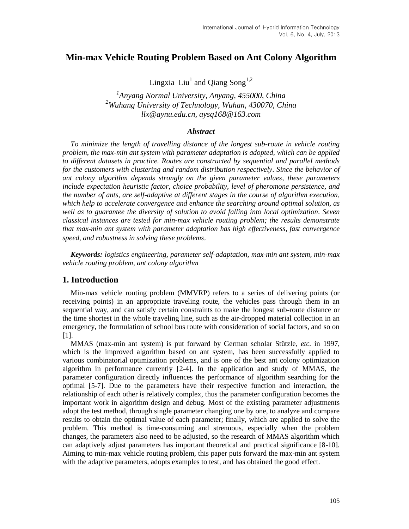# **Min-max Vehicle Routing Problem Based on Ant Colony Algorithm**

Lingxia  $\rm{Liu}^1$  and Qiang  $\rm{Song}^{1,2}$ 

*1 Anyang Normal University, Anyang, 455000, China <sup>2</sup>Wuhang University of Technology, Wuhan, 430070, China llx@aynu.edu.cn, aysq168@163.com*

### *Abstract*

*To minimize the length of travelling distance of the longest sub-route in vehicle routing problem, the max-min ant system with parameter adaptation is adopted, which can be applied to different datasets in practice. Routes are constructed by sequential and parallel methods for the customers with clustering and random distribution respectively. Since the behavior of ant colony algorithm depends strongly on the given parameter values, these parameters include expectation heuristic factor, choice probability, level of pheromone persistence, and the number of ants, are self-adaptive at different stages in the course of algorithm execution, which help to accelerate convergence and enhance the searching around optimal solution, as*  well as to guarantee the diversity of solution to avoid falling into local optimization. Seven *classical instances are tested for min-max vehicle routing problem; the results demonstrate that max-min ant system with parameter adaptation has high effectiveness, fast convergence speed, and robustness in solving these problems*.

*Keywords: logistics engineering, parameter self-adaptation, max-min ant system, min-max vehicle routing problem, ant colony algorithm*

## **1. Introduction**

Min-max vehicle routing problem (MMVRP) refers to a series of delivering points (or receiving points) in an appropriate traveling route, the vehicles pass through them in an sequential way, and can satisfy certain constraints to make the longest sub-route distance or the time shortest in the whole traveling line, such as the air-dropped material collection in an emergency, the formulation of school bus route with consideration of social factors, and so on [1].

MMAS (max-min ant system) is put forward by German scholar Stützle, *etc.* in 1997, which is the improved algorithm based on ant system, has been successfully applied to various combinatorial optimization problems, and is one of the best ant colony optimization algorithm in performance currently [2-4]. In the application and study of MMAS, the parameter configuration directly influences the performance of algorithm searching for the optimal [5-7]. Due to the parameters have their respective function and interaction, the relationship of each other is relatively complex, thus the parameter configuration becomes the important work in algorithm design and debug. Most of the existing parameter adjustments adopt the test method, through single parameter changing one by one, to analyze and compare results to obtain the optimal value of each parameter; finally, which are applied to solve the problem. This method is time-consuming and strenuous, especially when the problem changes, the parameters also need to be adjusted, so the research of MMAS algorithm which can adaptively adjust parameters has important theoretical and practical significance [8-10]. Aiming to min-max vehicle routing problem, this paper puts forward the max-min ant system with the adaptive parameters, adopts examples to test, and has obtained the good effect.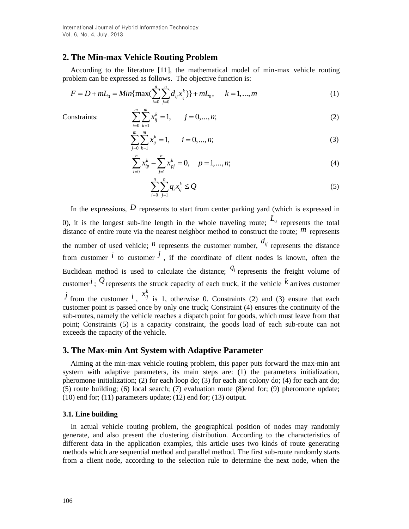International Journal of Hybrid Information Technology Vol. 6, No. 4, July, 2013

## **2. The Min-max Vehicle Routing Problem**

According to the literature [11], the mathematical model of min-max vehicle routing  
problem can be expressed as follows. The objective function is:  

$$
F = D + mL_0 = Min\{\max(\sum_{i=0}^{n} \sum_{j=0}^{n} d_{ij} x_{ij}^k)\} + mL_0, \quad k = 1,...,m
$$
 (1)

Constraints:

$$
\sum_{i=0}^{m} \sum_{k=1}^{m} x_{ij}^{k} = 1, \qquad j = 0, ..., n;
$$
 (2)

$$
\sum_{j=0}^{m} \sum_{k=1}^{m} x_{ij}^{k} = 1, \qquad i = 0, ..., n;
$$
 (3)

$$
\sum_{i=0}^{n} x_{ip}^{k} - \sum_{j=1}^{n} x_{pj}^{k} = 0, \quad p = 1, ..., n;
$$
 (4)

$$
\sum_{i=0}^{n} \sum_{j=1}^{n} q_i x_{ij}^k \le Q \tag{5}
$$

In the expressions, D represents to start from center parking yard (which is expressed in 0), it is the longest sub-line length in the whole traveling route;  $L_0$  represents the total distance of entire route via the nearest neighbor method to construct the route;  $^{\prime\prime\prime}$  represents the number of used vehicle;  $^n$  represents the customer number,  $d_{ij}$  represents the distance from customer  $\ell$  to customer  $\ell$ , if the coordinate of client nodes is known, often the Euclidean method is used to calculate the distance;  $q_i$  represents the freight volume of customer  $i$ ;  $Q$  represents the struck capacity of each truck, if the vehicle  $k$  arrives customer  $j$  from the customer  $i$ ,  $x_{ij}^k$  is 1, otherwise 0. Constraints (2) and (3) ensure that each customer point is passed once by only one truck; Constraint (4) ensures the continuity of the sub-routes, namely the vehicle reaches a dispatch point for goods, which must leave from that point; Constraints (5) is a capacity constraint, the goods load of each sub-route can not exceeds the capacity of the vehicle.

### **3. The Max-min Ant System with Adaptive Parameter**

Aiming at the min-max vehicle routing problem, this paper puts forward the max-min ant system with adaptive parameters, its main steps are: (1) the parameters initialization, pheromone initialization; (2) for each loop do; (3) for each ant colony do; (4) for each ant do; (5) route building; (6) local search; (7) evaluation route (8)end for; (9) pheromone update; (10) end for; (11) parameters update; (12) end for; (13) output.

#### **3.1. Line building**

In actual vehicle routing problem, the geographical position of nodes may randomly generate, and also present the clustering distribution. According to the characteristics of different data in the application examples, this article uses two kinds of route generating methods which are sequential method and parallel method. The first sub-route randomly starts from a client node, according to the selection rule to determine the next node, when the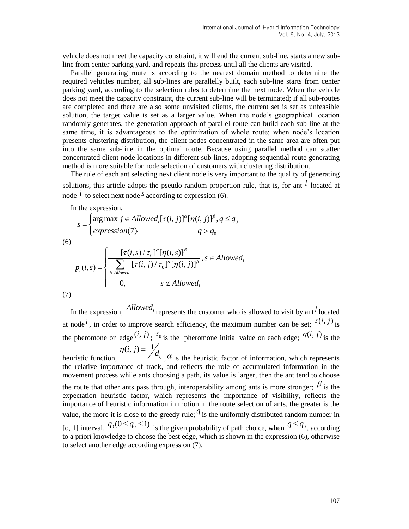vehicle does not meet the capacity constraint, it will end the current sub-line, starts a new subline from center parking yard, and repeats this process until all the clients are visited.

Parallel generating route is according to the nearest domain method to determine the required vehicles number, all sub-lines are parallelly built, each sub-line starts from center parking yard, according to the selection rules to determine the next node. When the vehicle does not meet the capacity constraint, the current sub-line will be terminated; if all sub-routes are completed and there are also some unvisited clients, the current set is set as unfeasible solution, the target value is set as a larger value. When the node's geographical location randomly generates, the generation approach of parallel route can build each sub-line at the same time, it is advantageous to the optimization of whole route; when node's location presents clustering distribution, the client nodes concentrated in the same area are often put into the same sub-line in the optimal route. Because using parallel method can scatter concentrated client node locations in different sub-lines, adopting sequential route generating method is more suitable for node selection of customers with clustering distribution.

The rule of each ant selecting next client node is very important to the quality of generating solutions, this article adopts the pseudo-random proportion rule, that is, for ant  $l$  located at node  $\hat{i}$  to select next node  $\hat{s}$  according to expression (6).

In the expression,

in the expression,  
\n
$$
s = \begin{cases}\n\arg \max j \in Alloved_{i}[\tau(i, j)]^{\alpha}[\eta(i, j)]^{\beta}, q \leq q_{0} \\
\expression(7), & q > q_{0}\n\end{cases}
$$

(6)

$$
P_i(i, s) = \begin{cases} \frac{[\tau(i, s) / \tau_0]^{\alpha} [\eta(i, s)]^{\beta}}{\sum_{j \in Alloved_i} [\tau(i, j) / \tau_0]^{\alpha} [\eta(i, j)]^{\beta}}, s \in Alloved_i \\ 0, \quad s \notin Alloved_i \end{cases}
$$

$$
(7)
$$

In the expression,  $\Delta$ *llowed*<sub>*l*</sub> represents the customer who is allowed to visit by ant *l* located at node <sup>*i*</sup>, in order to improve search efficiency, the maximum number can be set;  $\tau(i, j)$  is the pheromone on edge  $(i, j)$ ;  $\tau_0$  is the pheromone initial value on each edge;  $\eta(i, j)$  is the  $(i, j) = \frac{1}{2}$  $\eta(i, j) = \frac{1}{d_{ij}}$ 

heuristic function,  $\alpha$ ,  $\alpha$  is the heuristic factor of information, which represents the relative importance of track, and reflects the role of accumulated information in the movement process while ants choosing a path, its value is larger, then the ant tend to choose the route that other ants pass through, interoperability among ants is more stronger;  $\beta$  is the expectation heuristic factor, which represents the importance of visibility, reflects the importance of heuristic information in motion in the route selection of ants, the greater is the value, the more it is close to the greedy rule;  $q$  is the uniformly distributed random number in [o, 1] interval,  $q_0(0 \leq q_0 \leq 1)$  is the given probability of path choice, when  $q \leq q_0$ , according to a priori knowledge to choose the best edge, which is shown in the expression (6), otherwise to select another edge according expression (7).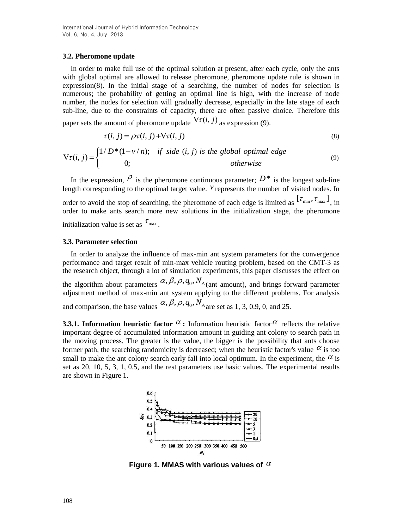### **3.2. Pheromone update**

In order to make full use of the optimal solution at present, after each cycle, only the ants with global optimal are allowed to release pheromone, pheromone update rule is shown in expression(8). In the initial stage of a searching, the number of nodes for selection is numerous; the probability of getting an optimal line is high, with the increase of node number, the nodes for selection will gradually decrease, especially in the late stage of each sub-line, due to the constraints of capacity, there are often passive choice. Therefore this paper sets the amount of pheromone update  $V\tau(i, j)$  as expression (9).

$$
\tau(i, j) = \rho \tau(i, j) + V \tau(i, j)
$$
\n(8)

paper sets the amount of pretonione update

\n
$$
\tau(i, j) = \rho \tau(i, j) + V\tau(i, j)
$$
\n(8)

\n
$$
V\tau(i, j) =\begin{cases}\n1/D*(1 - v/n); & \text{if side } (i, j) \text{ is the global optimal edge} \\
0; & \text{otherwise}\n\end{cases}
$$

In the expression,  $\rho$  is the pheromone continuous parameter;  $D^*$  is the longest sub-line length corresponding to the optimal target value.  $\vec{v}$  represents the number of visited nodes. In order to avoid the stop of searching, the pheromone of each edge is limited as  $[\tau_{min}, \tau_{max}]$ , in order to make ants search more new solutions in the initialization stage, the pheromone initialization value is set as  $^{\tau_{\text{max}}}$ .

#### **3.3. Parameter selection**

In order to analyze the influence of max-min ant system parameters for the convergence performance and target result of min-max vehicle routing problem, based on the CMT-3 as the research object, through a lot of simulation experiments, this paper discusses the effect on the algorithm about parameters  $\alpha$ ,  $\beta$ ,  $\rho$ ,  $q_0$ ,  $N_A$ <sub>(ant amount), and brings forward parameter</sub> adjustment method of max-min ant system applying to the different problems. For analysis and comparison, the base values  $\alpha$ ,  $\beta$ ,  $\rho$ ,  $q_0$ ,  $N_A$  are set as 1, 3, 0.9, 0, and 25.

**3.3.1. Information heuristic factor**  $\alpha$ **:** Information heuristic factor  $\alpha$  reflects the relative important degree of accumulated information amount in guiding ant colony to search path in the moving process. The greater is the value, the bigger is the possibility that ants choose former path, the searching randomicity is decreased; when the heuristic factor's value  $\alpha$  is too small to make the ant colony search early fall into local optimum. In the experiment, the  $\alpha$  is set as 20, 10, 5, 3, 1, 0.5, and the rest parameters use basic values. The experimental results are shown in Figure 1.



**Figure 1. MMAS with various values of**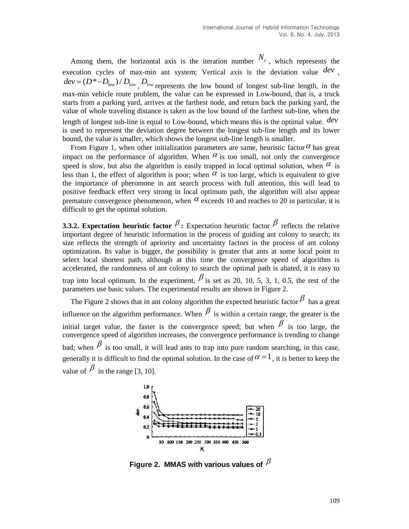Among them, the horizontal axis is the iteration number  $N_c$ , which represents the execution cycles of max-min ant system; Vertical axis is the deviation value *dev* ,  $dev = (D^* - D_{low}) / D_{low}$ ,  $D_{low}$  represents the low bound of longest sub-line length, in the max-min vehicle route problem, the value can be expressed in Low-bound, that is, a truck starts from a parking yard, arrives at the farthest node, and return back the parking yard, the value of whole traveling distance is taken as the low bound of the farthest sub-line, when the length of longest sub-line is equal to Low-bound, which means this is the optimal value. *dev* is used to represent the deviation degree between the longest sub-line length and its lower bound, the value is smaller, which shows the longest sub-line length is smaller.

From Figure 1, when other initialization parameters are same, heuristic factor  $\alpha$  has great impact on the performance of algorithm. When  $\alpha$  is too small, not only the convergence speed is slow, but also the algorithm is easily trapped in local optimal solution, when  $\alpha$  is less than 1, the effect of algorithm is poor; when  $\alpha$  is too large, which is equivalent to give the importance of pheromone in ant search process with full attention, this will lead to positive feedback effect very strong in local optimum path, the algorithm will also appear premature convergence phenomenon, when  $\alpha$  exceeds 10 and reaches to 20 in particular, it is difficult to get the optimal solution.

**3.3.2. Expectation heuristic factor**  $\beta$ **: Expectation heuristic factor**  $\beta$  **reflects the relative** important degree of heuristic information in the process of guiding ant colony to search; its size reflects the strength of apriority and uncertainty factors in the process of ant colony optimization. Its value is bigger, the possibility is greater that ants at some local point to select local shortest path, although at this time the convergence speed of algorithm is accelerated, the randomness of ant colony to search the optimal path is abated, it is easy to trap into local optimum. In the experiment,  $\beta$  is set as 20, 10, 5, 3, 1, 0.5, the rest of the parameters use basic values. The experimental results are shown in Figure 2.

The Figure 2 shows that in ant colony algorithm the expected heuristic factor  $\beta$  has a great influence on the algorithm performance. When  $\beta$  is within a certain range, the greater is the initial target value, the faster is the convergence speed; but when  $\beta$  is too large, the convergence speed of algorithm increases, the convergence performance is trending to change bad; when  $\beta$  is too small, it will lead ants to trap into pure random searching, in this case, generally it is difficult to find the optimal solution. In the case of  $\alpha = 1$ , it is better to keep the value of  $\beta$  in the range [3, 10].



Figure 2. MMAS with various values of  $^\beta$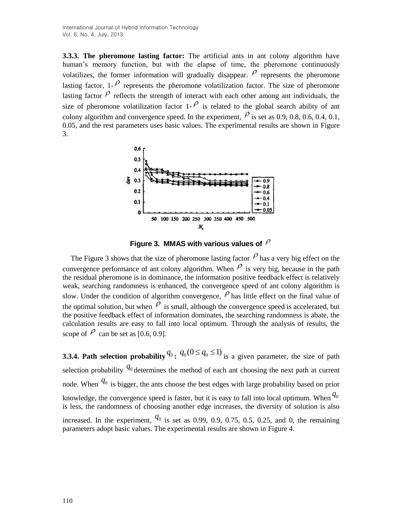**3.3.3. The pheromone lasting factor:** The artificial ants in ant colony algorithm have human's memory function, but with the elapse of time, the pheromone continuously volatilizes, the former information will gradually disappear.  $\rho$  represents the pheromone lasting factor, 1- $\beta$  represents the pheromone volatilization factor. The size of pheromone lasting factor  $\rho$  reflects the strength of interact with each other among ant individuals, the size of pheromone volatilization factor 1- $\ell$  is related to the global search ability of ant colony algorithm and convergence speed. In the experiment,  $\rho$  is set as 0.9, 0.8, 0.6, 0.4, 0.1, 0.05, and the rest parameters uses basic values. The experimental results are shown in Figure 3.



**Figure 3. MMAS with various values of** 

The Figure 3 shows that the size of pheromone lasting factor  $\rho$  has a very big effect on the convergence performance of ant colony algorithm. When  $\ell$  is very big, because in the path the residual pheromone is in dominance, the information positive feedback effect is relatively weak, searching randomness is enhanced, the convergence speed of ant colony algorithm is slow. Under the condition of algorithm convergence,  $\rho$  has little effect on the final value of the optimal solution, but when  $\ell$  is small, although the convergence speed is accelerated, but the positive feedback effect of information dominates, the searching randomness is abate, the calculation results are easy to fall into local optimum. Through the analysis of results, the scope of  $\rho$  can be set as [0.6, 0.9].

**3.3.4. Path selection probability**  $q_0$ :  $q_0(0 \leq q_0 \leq 1)$  is a given parameter, the size of path selection probability  $q_0$  determines the method of each ant choosing the next path at current node. When  $q_0$  is bigger, the ants choose the best edges with large probability based on prior knowledge, the convergence speed is faster, but it is easy to fall into local optimum. When  $q_0$ is less, the randomness of choosing another edge increases, the diversity of solution is also increased. In the experiment,  $q_0$  is set as 0.99, 0.9, 0.75, 0.5, 0.25, and 0, the remaining

parameters adopt basic values. The experimental results are shown in Figure 4.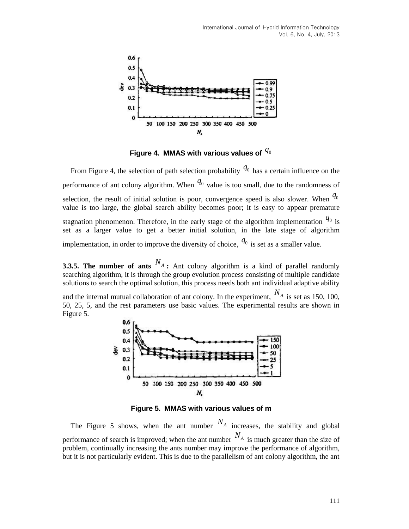

Figure 4. MMAS with various values of  $\,q_0$ 

From Figure 4, the selection of path selection probability  $q_0$  has a certain influence on the performance of ant colony algorithm. When  $q_0$  value is too small, due to the randomness of selection, the result of initial solution is poor, convergence speed is also slower. When  $q_0$ value is too large, the global search ability becomes poor; it is easy to appear premature stagnation phenomenon. Therefore, in the early stage of the algorithm implementation  $q_0$  is set as a larger value to get a better initial solution, in the late stage of algorithm implementation, in order to improve the diversity of choice,  $q_0$  is set as a smaller value.

**3.3.5. The number of ants**  $N_A$  : Ant colony algorithm is a kind of parallel randomly searching algorithm, it is through the group evolution process consisting of multiple candidate solutions to search the optimal solution, this process needs both ant individual adaptive ability

and the internal mutual collaboration of ant colony. In the experiment,  $N_A$  is set as 150, 100, 50, 25, 5, and the rest parameters use basic values. The experimental results are shown in Figure 5.



**Figure 5. MMAS with various values of m**

The Figure 5 shows, when the ant number  $N_A$  increases, the stability and global performance of search is improved; when the ant number  $N_A$  is much greater than the size of problem, continually increasing the ants number may improve the performance of algorithm, but it is not particularly evident. This is due to the parallelism of ant colony algorithm, the ant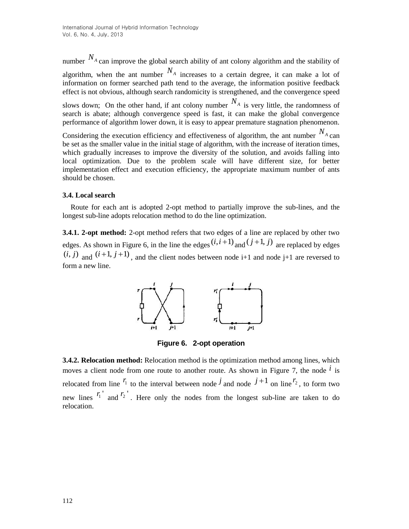number  $N_A$  can improve the global search ability of ant colony algorithm and the stability of algorithm, when the ant number  $N_A$  increases to a certain degree, it can make a lot of information on former searched path tend to the average, the information positive feedback effect is not obvious, although search randomicity is strengthened, and the convergence speed slows down; On the other hand, if ant colony number  $N_A$  is very little, the randomness of

search is abate; although convergence speed is fast, it can make the global convergence performance of algorithm lower down, it is easy to appear premature stagnation phenomenon.

Considering the execution efficiency and effectiveness of algorithm, the ant number  $N_A$  can be set as the smaller value in the initial stage of algorithm, with the increase of iteration times, which gradually increases to improve the diversity of the solution, and avoids falling into local optimization. Due to the problem scale will have different size, for better implementation effect and execution efficiency, the appropriate maximum number of ants should be chosen.

## **3.4. Local search**

Route for each ant is adopted 2-opt method to partially improve the sub-lines, and the longest sub-line adopts relocation method to do the line optimization.

**3.4.1. 2-opt method:** 2-opt method refers that two edges of a line are replaced by other two edges. As shown in Figure 6, in the line the edges  $(i, i+1)$  and  $(j+1, j)$  are replaced by edges  $(i, j)$  and  $(i+1, j+1)$ , and the client nodes between node i+1 and node j+1 are reversed to form a new line.



**Figure 6. 2-opt operation**

**3.4.2. Relocation method:** Relocation method is the optimization method among lines, which moves a client node from one route to another route. As shown in Figure 7, the node  $\hat{i}$  is relocated from line  $^{r_1}$  to the interval between node  $\dot{j}$  and node  $\dot{j}+1$  on line  $^{r_2}$ , to form two new lines  $r_1'$  and  $r_2'$ . Here only the nodes from the longest sub-line are taken to do relocation.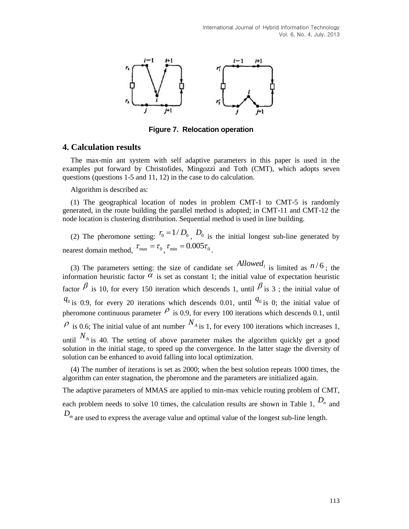

**Figure 7. Relocation operation**

## **4. Calculation results**

The max-min ant system with self adaptive parameters in this paper is used in the examples put forward by Christofides, Mingozzi and Toth (CMT), which adopts seven questions (questions 1-5 and 11, 12) in the case to do calculation.

Algorithm is described as:

(1) The geographical location of nodes in problem CMT-1 to CMT-5 is randomly generated, in the route building the parallel method is adopted; in CMT-11 and CMT-12 the node location is clustering distribution. Sequential method is used in line building.

(2) The pheromone setting:  $r_0 = 1/D_0$ ,  $D_0$  is the initial longest sub-line generated by nearest domain method,  $\tau_{\text{max}} = \tau_0$ ,  $\tau_{\text{min}} = 0.005 \tau_0$ .

(3) The parameters setting: the size of candidate set  $\Delta$ *llowed<sub>l</sub>* is limited as  $n/6$ ; the information heuristic factor  $\alpha$  is set as constant 1; the initial value of expectation heuristic factor  $\beta$  is 10, for every 150 iteration which descends 1, until  $\beta$  is 3; the initial value of  $q_{0}$  is 0.9, for every 20 iterations which descends 0.01, until  $q_{0}$  is 0; the initial value of pheromone continuous parameter  $\ell$  is 0.9, for every 100 iterations which descends 0.1, until  $\mathcal{P}$  is 0.6; The initial value of ant number  $N_A$  is 1, for every 100 iterations which increases 1, until  $N_A$  is 40. The setting of above parameter makes the algorithm quickly get a good solution in the initial stage, to speed up the convergence. In the latter stage the diversity of solution can be enhanced to avoid falling into local optimization.

(4) The number of iterations is set as 2000; when the best solution repeats 1000 times, the algorithm can enter stagnation, the pheromone and the parameters are initialized again.

The adaptive parameters of MMAS are applied to min-max vehicle routing problem of CMT, each problem needs to solve 10 times, the calculation results are shown in Table 1,  $D_n$  and *D m* are used to express the average value and optimal value of the longest sub-line length.

113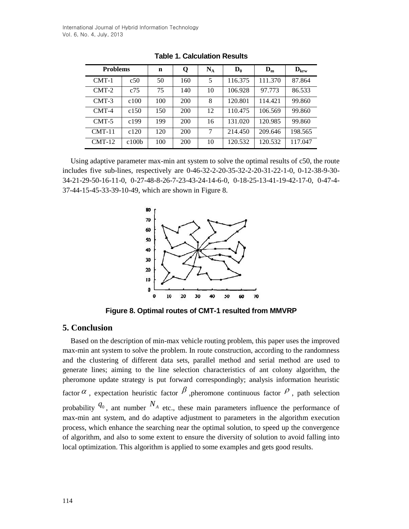| <b>Problems</b> |                   | $\mathbf n$ | Q   | $N_A$ | $\mathbf{D}_0$ | $\mathbf{D}_{\mathbf{m}}$ | $\mathbf{D}_{\mathbf{k}\mathbf{r}\mathbf{w}}$ |
|-----------------|-------------------|-------------|-----|-------|----------------|---------------------------|-----------------------------------------------|
| $CMT-1$         | c50               | 50          | 160 | 5     | 116.375        | 111.370                   | 87.864                                        |
| $CMT-2$         | c75               | 75          | 140 | 10    | 106.928        | 97.773                    | 86.533                                        |
| $CMT-3$         | c100              | 100         | 200 | 8     | 120.801        | 114.421                   | 99.860                                        |
| $CMT-4$         | c150              | 150         | 200 | 12    | 110.475        | 106.569                   | 99.860                                        |
| $CMT-5$         | c199              | 199         | 200 | 16    | 131.020        | 120.985                   | 99.860                                        |
| $CMT-11$        | c120              | 120         | 200 | 7     | 214.450        | 209.646                   | 198.565                                       |
| $CMT-12$        | c100 <sub>b</sub> | 100         | 200 | 10    | 120.532        | 120.532                   | 117.047                                       |

**Table 1. Calculation Results**

Using adaptive parameter max-min ant system to solve the optimal results of c50, the route includes five sub-lines, respectively are 0-46-32-2-20-35-32-2-20-31-22-1-0, 0-12-38-9-30- 34-21-29-50-16-11-0, 0-27-48-8-26-7-23-43-24-14-6-0, 0-18-25-13-41-19-42-17-0, 0-47-4- 37-44-15-45-33-39-10-49, which are shown in Figure 8.



**Figure 8. Optimal routes of CMT-1 resulted from MMVRP**

## **5. Conclusion**

Based on the description of min-max vehicle routing problem, this paper uses the improved max-min ant system to solve the problem. In route construction, according to the randomness and the clustering of different data sets, parallel method and serial method are used to generate lines; aiming to the line selection characteristics of ant colony algorithm, the pheromone update strategy is put forward correspondingly; analysis information heuristic factor  $\alpha$ , expectation heuristic factor  $\beta$ , pheromone continuous factor  $\beta$ , path selection probability  $q_0$ , ant number  $N_A$  etc., these main parameters influence the performance of max-min ant system, and do adaptive adjustment to parameters in the algorithm execution process, which enhance the searching near the optimal solution, to speed up the convergence of algorithm, and also to some extent to ensure the diversity of solution to avoid falling into local optimization. This algorithm is applied to some examples and gets good results.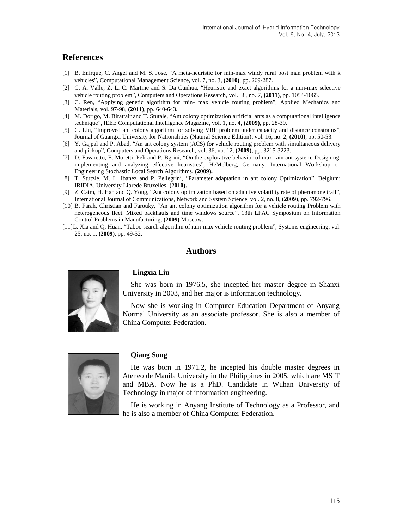## **References**

- [1] B. Enirque, C. Angel and M. S. Jose, "A meta-heuristic for min-max windy rural post man problem with k vehicles", Computational Management Science, vol. 7, no. 3, **(2010)**, pp. 269-287.
- [2] C. A. Valle, Z. L. C. Martine and S. Da Cunhua, "Heuristic and exact algorithms for a min-max selective vehicle routing problem", Computers and Operations Research, vol. 38, no. 7, **(2011)**, pp. 1054-1065.
- [3] C. Ren, "Applying genetic algorithm for min- max vehicle routing problem", Applied Mechanics and Materials, vol. 97-98, **(2011)**, pp. 640-643**.**
- [4] M. Dorigo, M. Birattair and T. Stutale, "Ant colony optimization artificial ants as a computational intelligence technique", IEEE Computational Intelligence Magazine, vol. 1, no. 4, **(2009)**, pp. 28-39.
- [5] G. Liu, "Improved ant colony algorithm for solving VRP problem under capacity and distance constrains", Journal of Guangxi University for Nationalities (Natural Science Edition), vol. 16, no. 2, **(2010)**, pp. 50-53.
- [6] Y. Gajpal and P. Abad, "An ant colony system (ACS) for vehicle routing problem with simultaneous delivery and pickup", Computers and Operations Research, vol. 36, no. 12, **(2009)**, pp. 3215-3223.
- [7] D. Favaretto, E. Moretti, Peli and P. Bgrini, "On the explorative behavior of max-rain ant system. Designing, implementing and analyzing effective heuristics", HeMelberg, Germany: International Workshop on Engineering Stochastic Local Search Algorithms, **(2009).**
- [8] T. Stutzle, M. L. Ibanez and P. Pellegrini, "Parameter adaptation in ant colony Optimization", Belgium: IRIDIA, University Librede Bruxelles, **(2010).**
- [9] Z. Caim, H. Han and Q. Yong, "Ant colony optimization based on adaptive volatility rate of pheromone trail", International Journal of Communications, Network and System Science, vol. 2, no. 8, **(2009)**, pp. 792-796.
- [10] B. Farah, Christian and Farouky, "An ant colony optimization algorithm for a vehicle routing Problem with heterogeneous fleet. Mixed backhauls and time windows source", 13th LFAC Symposium on Information Control Problems in Manufacturing, **(2009)** Moscow.
- [11]L. Xia and Q. Huan, "Taboo search algorithm of rain-max vehicle routing problem", Systems engineering, vol. 25, no. 1, **(2009)**, pp. 49-52.

## **Authors**



#### **Lingxia Liu**

She was born in 1976.5, she incepted her master degree in Shanxi University in 2003, and her major is information technology.

Now she is working in Computer Education Department of Anyang Normal University as an associate professor. She is also a member of China Computer Federation.



#### **Qiang Song**

He was born in 1971.2, he incepted his double master degrees in Ateneo de Manila University in the Philippines in 2005, which are MSIT and MBA. Now he is a PhD. Candidate in Wuhan University of Technology in major of information engineering.

He is working in Anyang Institute of Technology as a Professor, and he is also a member of China Computer Federation.